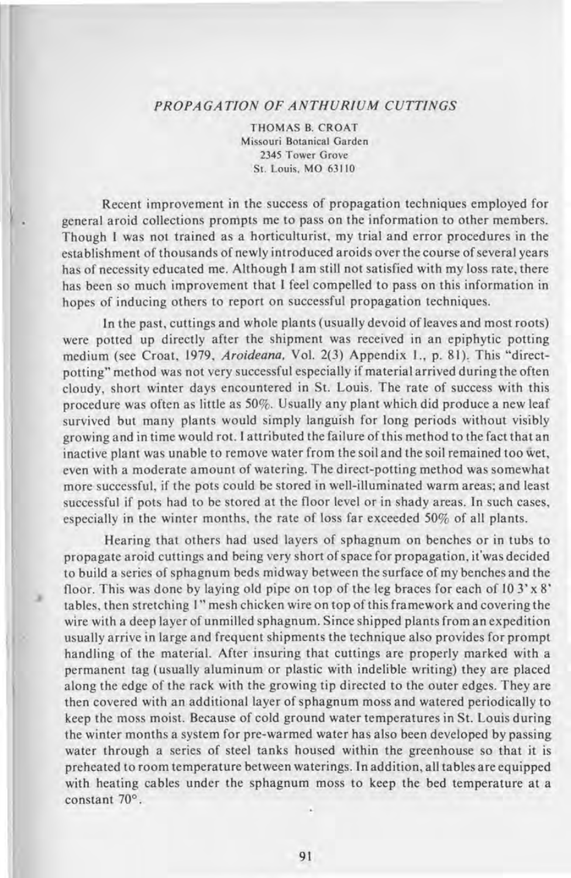## *PROPAGATION OF ANTHURIUM CUTTINGS*

THOMAS B. CROAT Missouri Botanical Garden 2345 Tower Grove St. Louis, MO 63110

Recent improvement in the success of propagation techniques employed for general aroid collections prompts me to pass on the information to other members. Though I was not trained as a horticulturist, my trial and error procedures in the establishment of thousands of newly introduced aroids over the course of several years has of necessity educated me. Although I am still not satisfied with my loss rate, there has been so much improvement that I feel compelled to pass on this information in hopes of inducing others to report on successful propagation techniques.

In the past, cuttings and whole plants (usually devoid of leaves and most roots) were potted up directly after the shipment was received in an epiphytic potting medium (see Croat, 1979, *Aroideana*, Vol. 2(3) Appendix 1., p. 81). This "directpotting" method was not very successful especially if material arrived during the often cloudy, short winter days encountered in St. Louis. The rate of success with this procedure was often as little as 50%. Usually any plant which did produce a new leaf survived but many plants would simply languish for long periods without visibly growing and in time would rot. I attributed the failure of this method to the fact that an inactive plant was unable to remove water from the soil and the soil remained too wet, even with a moderate amount of watering. The direct-potting method was somewhat more successful, if the pots could be stored in well-illuminated warm areas; and least successful if pots had to be stored at the floor level or in shady areas. In such cases, especially in the winter months, the rate of loss far exceeded 50% of all plants.

Hearing that others had used layers of sphagnum on benches or in tubs to propagate aroid cuttings and being very short of space for propagation, it'was decided to build a series of sphagnum beds midway between the surface of my benches and the floor. This was done by laying old pipe on top of the leg braces for each of  $103' \times 8'$ tables, then stretching I" mesh chicken wire on top of this framework and covering the wire with a deep layer of unmilled sphagnum. Since shipped plants from an expedition usually arrive in large and frequent shipments the technique also provides for prompt handling of the material. After insuring that cuttings are properly marked with a permanent tag (usually aluminum or plastic with indelible writing) they are placed along the edge of the rack with the growing tip directed to the outer edges. They are then covered with an additional layer of sphagnum moss and watered periodically to keep the moss moist. Because of cold ground water temperatures in St. Louis during the winter months a system for pre-warmed water has also been developed by passing water through a series of steel tanks housed within the greenhouse so that it is preheated to room temperature between waterings. In addition, all tables are equipped with heating cables under the sphagnum moss to keep the bed temperature at a constant 70°.